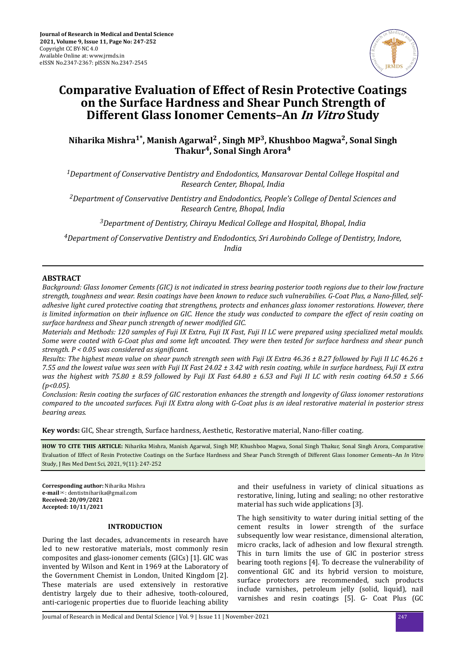

# **Comparative Evaluation of Effect of Resin Protective Coatings on the Surface Hardness and Shear Punch Strength of Different Glass Ionomer Cements–An In Vitro Study**

# **Niharika Mishra1\*, Manish Agarwal2 , Singh MP<sup>3</sup> , Khushboo Magwa<sup>2</sup> , Sonal Singh Thakur<sup>4</sup> , Sonal Singh Arora<sup>4</sup>**

*<sup>1</sup>Department of Conservative Dentistry and Endodontics, Mansarovar Dental College Hospital and Research Center, Bhopal, India*

*<sup>2</sup>Department of Conservative Dentistry and Endodontics, People's College of Dental Sciences and Research Centre, Bhopal, India*

*<sup>3</sup>Department of Dentistry, Chirayu Medical College and Hospital, Bhopal, India*

*<sup>4</sup>Department of Conservative Dentistry and Endodontics, Sri Aurobindo College of Dentistry, Indore, India*

# **ABSTRACT**

*Background: Glass Ionomer Cements (GIC) is not indicated in stress bearing posterior tooth regions due to their low fracture strength, toughness and wear. Resin coatings have been known to reduce such vulnerabilies. G-Coat Plus, a Nano-filled, selfadhesive light cured protective coating that strengthens, protects and enhances glass ionomer restorations. However, there is limited information on their nϔluence on GIC. Hence the study was conducted to compare the effect of resin coating on surface hardness and Shear punch strength of newer modified GIC.* 

*Materials and Methods: 120 samples of Fuji IX Extra, Fuji IX Fast, Fuji II LC were prepared using specialized metal moulds. Some were coated with G-Coat plus and some left uncoated. They were then tested for surface hardness and shear punch strength. P < 0.05 was considered as significant.* 

*Results: The highest mean value on shear punch strength seen with Fuji IX Extra 46.36 ± 8.27 followed by Fuji II LC 46.26 ± 7.55 and the lowest value was seen with Fuji IX Fast 24.02 ± 3.42 with resin coating, while in surface hardness, Fuji IX extra was the highest with 75.80 ± 8.59 followed by Fuji IX Fast 64.80 ± 6.53 and Fuji II LC with resin coating 64.50 ± 5.66 (p<0.05).*

*Conclusion: Resin coating the surfaces of GIC restoration enhances the strength and longevity of Glass ionomer restorations compared to the uncoated surfaces. Fuji IX Extra along with G-Coat plus is an ideal restorative material in posterior stress bearing areas.*

Key words: GIC, Shear strength, Surface hardness, Aesthetic, Restorative material, Nano-filler coating.

**HOW TO CITE THIS ARTICLE:** Niharika Mishra, Manish Agarwal, Singh MP, Khushboo Magwa, Sonal Singh Thakur, Sonal Singh Arora, Comparative Evaluation of Effect of Resin Protective Coatings on the Surface Hardness and Shear Punch Strength of Different Glass Ionomer Cements–An *In Vitro* Study, J Res Med Dent Sci, 2021, 9(11): 247-252

**Corresponding author:** Niharika Mishra **e-mail**✉: dentistniharika@gmail.com **Received: 20/09/2021 Accepted: 10/11/2021** 

#### **INTRODUCTION**

During the last decades, advancements in research have led to new restorative materials, most commonly resin composites and glass-ionomer cements (GICs) [1]. GIC was invented by Wilson and Kent in 1969 at the Laboratory of the Government Chemist in London, United Kingdom [2]. These materials are used extensively in restorative dentistry largely due to their adhesive, tooth-coloured, anti-cariogenic properties due to fluoride leaching ability

and their usefulness in variety of clinical situations as restorative, lining, luting and sealing; no other restorative material has such wide applications [3].

The high sensitivity to water during initial setting of the cement results in lower strength of the surface subsequently low wear resistance, dimensional alteration, micro cracks, lack of adhesion and low flexural strength. This in turn limits the use of GIC in posterior stress bearing tooth regions [4]. To decrease the vulnerability of conventional GIC and its hybrid version to moisture, surface protectors are recommended, such products include varnishes, petroleum jelly (solid, liquid), nail varnishes and resin coatings [5]. G- Coat Plus (GC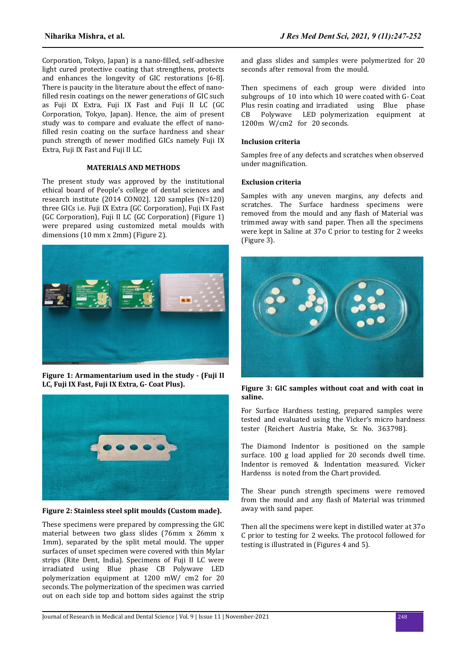Corporation, Tokyo, Japan) is a nano-filled, self-adhesive light cured protective coating that strengthens, protects and enhances the longevity of GIC restorations [6-8]. There is paucity in the literature about the effect of nanofilled resin coatings on the newer generations of GIC such as Fuji IX Extra, Fuji IX Fast and Fuji II LC (GC Corporation, Tokyo, Japan). Hence, the aim of present study was to compare and evaluate the effect of nanofilled resin coating on the surface hardness and shear punch strength of newer modified GICs namely Fuji IX Extra, Fuji IX Fast and Fuji II LC.

# **MATERIALS AND METHODS**

The present study was approved by the institutional ethical board of People's college of dental sciences and research institute (2014 CON02]. 120 samples (N=120) three GICs i.e. Fuji IX Extra (GC Corporation), Fuji IX Fast (GC Corporation), Fuji II LC (GC Corporation) (Figure 1) were prepared using customized metal moulds with dimensions (10 mm x 2mm) (Figure 2).



**Figure 1: Armamentarium used in the study - (Fuji II LC, Fuji IX Fast, Fuji IX Extra, G- Coat Plus).**



**Figure 2: Stainless steel split moulds (Custom made).**

These specimens were prepared by compressing the GIC material between two glass slides (76mm x 26mm x 1mm), separated by the split metal mould. The upper surfaces of unset specimen were covered with thin Mylar strips (Rite Dent, India). Specimens of Fuji II LC were irradiated using Blue phase CB Polywave LED polymerization equipment at 1200 mW/ cm2 for 20 seconds. The polymerization of the specimen was carried out on each side top and bottom sides against the strip and glass slides and samples were polymerized for 20 seconds after removal from the mould.

Then specimens of each group were divided into subgroups of 10 into which 10 were coated with G- Coat Plus resin coating and irradiated using Blue phase CB Polywave LED polymerization equipment at 1200m W/cm2 for 20 seconds.

# **Inclusion criteria**

Samples free of any defects and scratches when observed under magnification.

# **Exclusion criteria**

Samples with any uneven margins, any defects and scratches. The Surface hardness specimens were removed from the mould and any flash of Material was trimmed away with sand paper. Then all the specimens were kept in Saline at 37o C prior to testing for 2 weeks (Figure 3).



**Figure 3: GIC samples without coat and with coat in saline.**

For Surface Hardness testing, prepared samples were tested and evaluated using the Vicker's micro hardness tester (Reichert Austria Make, Sr. No. 363798).

The Diamond Indentor is positioned on the sample surface. 100 g load applied for 20 seconds dwell time. Indentor is removed & Indentation measured. Vicker Hardenss is noted from the Chart provided.

The Shear punch strength specimens were removed from the mould and any flash of Material was trimmed away with sand paper.

Then all the specimens were kept in distilled water at 37o C prior to testing for 2 weeks. The protocol followed for testing is illustrated in (Figures 4 and 5).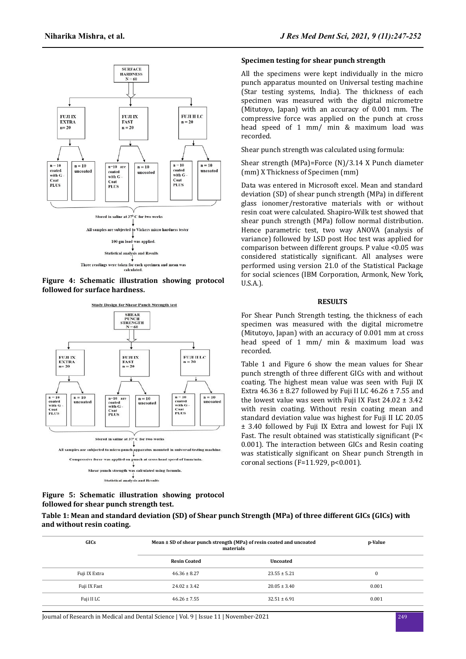





**Figure 5: Schematic illustration showing protocol followed for shear punch strength test.**

#### **Specimen testing for shear punch strength**

All the specimens were kept individually in the micro punch apparatus mounted on Universal testing machine (Star testing systems, India). The thickness of each specimen was measured with the digital micrometre (Mitutoyo, Japan) with an accuracy of 0.001 mm. The compressive force was applied on the punch at cross head speed of 1 mm/ min & maximum load was recorded.

Shear punch strength was calculated using formula:

Shear strength (MPa)=Force (N)/3.14 X Punch diameter (mm) X Thickness of Specimen (mm)

Data was entered in Microsoft excel. Mean and standard deviation (SD) of shear punch strength (MPa) in different glass ionomer/restorative materials with or without resin coat were calculated. Shapiro-Wilk test showed that shear punch strength (MPa) follow normal distribution. Hence parametric test, two way ANOVA (analysis of variance) followed by LSD post Hoc test was applied for comparison between different groups. P value <0.05 was considered statistically significant. All analyses were performed using version 21.0 of the Statistical Package for social sciences (IBM Corporation, Armonk, New York, U.S.A.).

#### **RESULTS**

For Shear Punch Strength testing, the thickness of each specimen was measured with the digital micrometre (Mitutoyo, Japan) with an accuracy of 0.001 mm at cross head speed of 1 mm/ min & maximum load was recorded.

Table 1 and Figure 6 show the mean values for Shear punch strength of three different GICs with and without coating. The highest mean value was seen with Fuji IX Extra  $46.36 \pm 8.27$  followed by Fuji II LC  $46.26 \pm 7.55$  and the lowest value was seen with Fuji IX Fast  $24.02 \pm 3.42$ with resin coating. Without resin coating mean and standard deviation value was highest for Fuji II LC 20.05 ± 3.40 followed by Fuji IX Extra and lowest for Fuji IX Fast. The result obtained was statistically significant (P< 0.001). The interaction between GICs and Resin coating was statistically significant on Shear punch Strength in coronal sections ( $F=11.929$ ,  $p<0.001$ ).

| Table 1: Mean and standard deviation (SD) of Shear punch Strength (MPa) of three different GICs (GICs) with |  |
|-------------------------------------------------------------------------------------------------------------|--|
| and without resin coating.                                                                                  |  |

| GICs          | Mean ± SD of shear punch strength (MPa) of resin coated and uncoated<br>materials | p-Value          |       |
|---------------|-----------------------------------------------------------------------------------|------------------|-------|
|               | <b>Resin Coated</b>                                                               | Uncoated         |       |
| Fuji IX Extra | $46.36 \pm 8.27$                                                                  | $23.55 \pm 5.21$ |       |
| Fuji IX Fast  | $24.02 \pm 3.42$                                                                  | $20.05 \pm 3.40$ | 0.001 |
| Fuji II LC    | $46.26 \pm 7.55$                                                                  | $32.51 \pm 6.91$ | 0.001 |

Journal of Research in Medical and Dental Science | Vol. 9 | Issue 11 | November-2021 249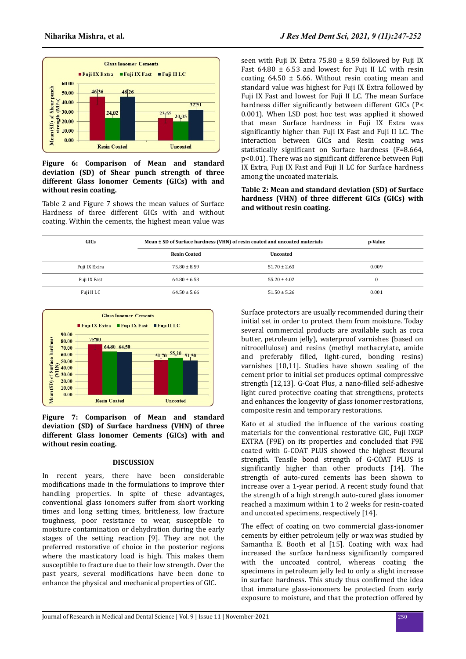

## **Figure 6: Comparison of Mean and standard deviation (SD) of Shear punch strength of three different Glass Ionomer Cements (GICs) with and without resin coating.**

Table 2 and Figure 7 shows the mean values of Surface Hardness of three different GICs with and without coating. Within the cements, the highest mean value was

seen with Fuji IX Extra 75.80  $\pm$  8.59 followed by Fuji IX Fast  $64.80 \pm 6.53$  and lowest for Fuji II LC with resin coating  $64.50 \pm 5.66$ . Without resin coating mean and standard value was highest for Fuji IX Extra followed by Fuji IX Fast and lowest for Fuji II LC. The mean Surface hardness differ significantly between different GICs (P< 0.001). When LSD post hoc test was applied it showed that mean Surface hardness in Fuji IX Extra was significantly higher than Fuji IX Fast and Fuji II LC. The interaction between GICs and Resin coating was statistically significant on Surface hardness (F=8.664, p<0.01). There was no significant difference between Fuji IX Extra, Fuji IX Fast and Fuji II LC for Surface hardness among the uncoated materials.

**Table 2: Mean and standard deviation (SD) of Surface hardness (VHN) of three different GICs (GICs) with and without resin coating.**

| GICs          | Mean ± SD of Surface hardness (VHN) of resin coated and uncoated materials | p-Value          |          |
|---------------|----------------------------------------------------------------------------|------------------|----------|
|               | <b>Resin Coated</b>                                                        | Uncoated         |          |
| Fuji IX Extra | $75.80 \pm 8.59$                                                           | $51.70 \pm 2.63$ | 0.009    |
| Fuji IX Fast  | $64.80 \pm 6.53$                                                           | $55.20 \pm 4.02$ | $\Omega$ |
| Fuji II LC    | $64.50 \pm 5.66$                                                           | $51.50 \pm 5.26$ | 0.001    |



**Figure 7: Comparison of Mean and standard deviation (SD) of Surface hardness (VHN) of three different Glass Ionomer Cements (GICs) with and without resin coating.**

# **DISCUSSION**

In recent years, there have been considerable modifications made in the formulations to improve thier handling properties. In spite of these advantages, conventional glass ionomers suffer from short working times and long setting times, brittleness, low fracture toughness, poor resistance to wear, susceptible to moisture contamination or dehydration during the early stages of the setting reaction [9]. They are not the preferred restorative of choice in the posterior regions where the masticatory load is high. This makes them susceptible to fracture due to their low strength. Over the past years, several modifications have been done to enhance the physical and mechanical properties of GIC.

Surface protectors are usually recommended during their initial set in order to protect them from moisture. Today several commercial products are available such as coca butter, petroleum jelly), waterproof varnishes (based on nitrocellulose) and resins (methyl methacrylate, amide and preferably filled, light-cured, bonding resins) varnishes [10,11]. Studies have shown sealing of the cement prior to initial set produces optimal compressive strength [12,13]. G-Coat Plus, a nano-filled self-adhesive light cured protective coating that strengthens, protects and enhances the longevity of glass ionomer restorations, composite resin and temporary restorations.

Kato et al studied the influence of the various coating materials for the conventional restorative GIC, Fuji IXGP EXTRA (F9E) on its properties and concluded that F9E coated with G-COAT PLUS showed the highest flexural strength. Tensile bond strength of G-COAT PLUS is significantly higher than other products [14]. The strength of auto-cured cements has been shown to increase over a 1-year period. A recent study found that the strength of a high strength auto-cured glass ionomer reached a maximum within 1 to 2 weeks for resin-coated and uncoated specimens, respectively [14].

The effect of coating on two commercial glass-ionomer cements by either petroleum jelly or wax was studied by Samantha E. Booth et al [15]. Coating with wax had increased the surface hardness significantly compared with the uncoated control, whereas coating the specimens in petroleum jelly led to only a slight increase in surface hardness. This study thus confirmed the idea that immature glass-ionomers be protected from early exposure to moisture, and that the protection offered by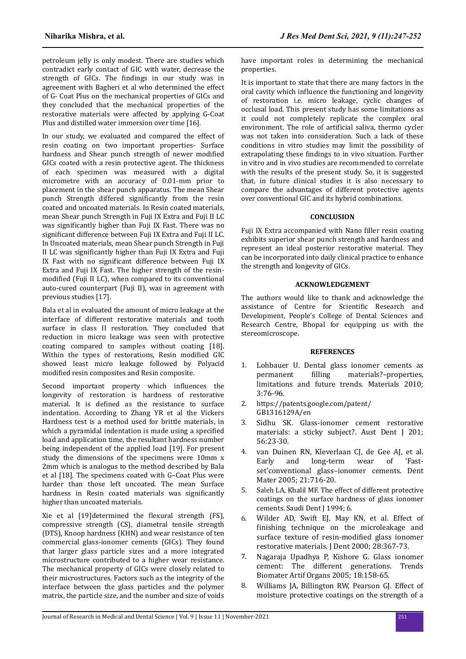petroleum jelly is only modest. There are studies which contradict early contact of GIC with water, decrease the strength of GICs. The findings in our study was in agreement with Bagheri et al who determined the effect of G- Coat Plus on the mechanical properties of GICs and they concluded that the mechanical properties of the restorative materials were affected by applying G-Coat Plus and distilled water immersion over time [16].

In our study, we evaluated and compared the effect of resin coating on two important properties- Surface hardness and Shear punch strength of newer modified GICs coated with a resin protective agent. The thickness of each specimen was measured with a digital micrometre with an accuracy of 0.01-mm prior to placement in the shear punch apparatus. The mean Shear punch Strength differed significantly from the resin coated and uncoated materials. In Resin coated materials, mean Shear punch Strength in Fuji IX Extra and Fuji II LC was significantly higher than Fuji IX Fast. There was no significant difference between Fuji IX Extra and Fuji II LC. In Uncoated materials, mean Shear punch Strength in Fuji II LC was significantly higher than Fuji IX Extra and Fuji IX Fast with no significant difference between Fuji IX Extra and Fuji IX Fast. The higher strength of the resinmodified (Fuji II LC), when compared to its conventional auto-cured counterpart (Fuji II), was in agreement with previous studies [17].

Bala et al in evaluated the amount of micro leakage at the interface of different restorative materials and tooth surface in class II restoration. They concluded that reduction in micro leakage was seen with protective coating compared to samples without coating [18]. Within the types of restorations, Resin modified GIC showed least micro leakage followed by Polyacid modified resin composites and Resin composite.

Second important property which influences the longevity of restoration is hardness of restorative material. It is defined as the resistance to surface indentation. According to Zhang YR et al the Vickers Hardness test is a method used for brittle materials, in which a pyramidal indentation is made using a specified load and application time, the resultant hardness number being independent of the applied load [19]. For present study the dimensions of the specimens were 10mm x 2mm which is analogus to the method described by Bala et al [18]. The specimens coated with G–Coat Plus were harder than those left uncoated. The mean Surface hardness in Resin coated materials was significantly higher than uncoated materials.

Xie et al [19]determined the flexural strength (FS), compressive strength (CS), diametral tensile strength (DTS), Knoop hardness (KHN) and wear resistance of ten commercial glass-ionomer cements (GICs). They found that larger glass particle sizes and a more integrated microstructure contributed to a higher wear resistance. The mechanical property of GICs were closely related to their microstructures. Factors such as the integrity of the interface between the glass particles and the polymer matrix, the particle size, and the number and size of voids

have important roles in determining the mechanical properties.

It is important to state that there are many factors in the oral cavity which influence the functioning and longevity of restoration i.e. micro leakage, cyclic changes of occlusal load. This present study has some limitations as it could not completely replicate the complex oral environment. The role of artificial saliva, thermo cycler was not taken into consideration. Such a lack of these conditions in vitro studies may limit the possibility of extrapolating these findings to in vivo situation. Further in vitro and in vivo studies are recommended to correlate with the results of the present study. So, it is suggested that, in future clinical studies it is also necessary to compare the advantages of different protective agents over conventional GIC and its hybrid combinations.

# **CONCLUSION**

Fuji IX Extra accompanied with Nano filler resin coating exhibits superior shear punch strength and hardness and represent an ideal posterior restorative material. They can be incorporated into daily clinical practice to enhance the strength and longevity of GICs.

### **ACKNOWLEDGEMENT**

The authors would like to thank and acknowledge the assistance of Centre for Scientific Research and Development, People's College of Dental Sciences and Research Centre, Bhopal for equipping us with the stereomicroscope.

#### **REFERENCES**

- 1. [Lohbauer U. Dental glass ionomer cements as](https://dx.doi.org/10.3390%2Fma3010076) permanent filling [materials?–properties,](https://dx.doi.org/10.3390%2Fma3010076) [limitations and future trends. Materials 2010;](https://dx.doi.org/10.3390%2Fma3010076) [3:76-96.](https://dx.doi.org/10.3390%2Fma3010076)
- 2. https://patents.google.com/patent/ GB1316129A/en
- 3. [Sidhu SK. Glass-ionomer cement restorative](https://doi.org/10.1111/j.1834-7819.2010.01293.x) [materials: a sticky subject?. Aust Dent J 201;](https://doi.org/10.1111/j.1834-7819.2010.01293.x) [56:23-30.](https://doi.org/10.1111/j.1834-7819.2010.01293.x)
- 4. [van Duinen RN, Kleverlaan CJ, de Gee AJ, et al.](https://doi.org/10.1016/j.dental.2004.09.007) [Early and long-term wear of 'Fast](https://doi.org/10.1016/j.dental.2004.09.007)[set'conventional glass–ionomer cements. Dent](https://doi.org/10.1016/j.dental.2004.09.007) [Mater 2005; 21:716-20.](https://doi.org/10.1016/j.dental.2004.09.007)
- 5. Saleh LA, Khalil MF. The effect of different protective coatings on the surface hardness of glass ionomer cements. Saudi Dent J 1994; 6.
- 6. [Wilder AD, Swift EJ, May KN, et al. Effect of](https://doi.org/10.1016/s0300-5712(99)00075-5) finishing [technique on the microleakage and](https://doi.org/10.1016/s0300-5712(99)00075-5) [surface texture of](https://doi.org/10.1016/s0300-5712(99)00075-5) resin-modified glass ionomer [restorative materials. J Dent 2000; 28:367-73.](https://doi.org/10.1016/s0300-5712(99)00075-5)
- 7. [Nagaraja Upadhya P, Kishore G. Glass ionomer](https://manipal.pure.elsevier.com/en/publications/glass-ionomer-cement-the-different-generations) [cement: The different generations. Trends](https://manipal.pure.elsevier.com/en/publications/glass-ionomer-cement-the-different-generations) [Biomater Artif Organs 2005; 18:158-65.](https://manipal.pure.elsevier.com/en/publications/glass-ionomer-cement-the-different-generations)
- 8. [Williams JA, Billington RW, Pearson GJ. Effect of](https://doi.org/10.1046/j.1365-2842.1998.00282.x) [moisture protective coatings on the strength of a](https://doi.org/10.1046/j.1365-2842.1998.00282.x)